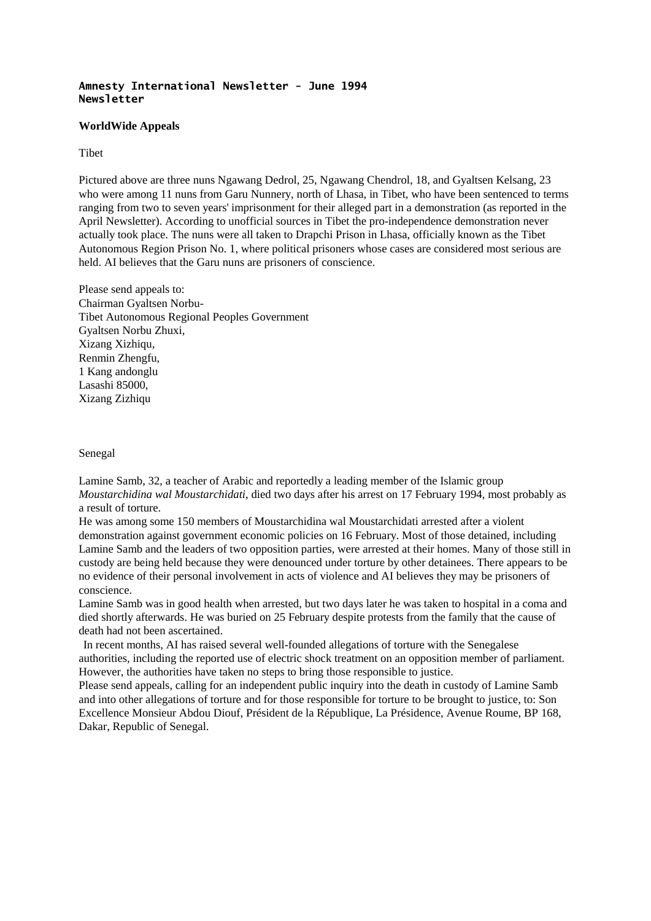## **Amnesty International Newsletter - June 1994 Newsletter**

## **WorldWide Appeals**

# Tibet

Pictured above are three nuns Ngawang Dedrol, 25, Ngawang Chendrol, 18, and Gyaltsen Kelsang, 23 who were among 11 nuns from Garu Nunnery, north of Lhasa, in Tibet, who have been sentenced to terms ranging from two to seven years' imprisonment for their alleged part in a demonstration (as reported in the April Newsletter). According to unofficial sources in Tibet the pro-independence demonstration never actually took place. The nuns were all taken to Drapchi Prison in Lhasa, officially known as the Tibet Autonomous Region Prison No. 1, where political prisoners whose cases are considered most serious are held. AI believes that the Garu nuns are prisoners of conscience.

Please send appeals to: Chairman Gyaltsen Norbu-Tibet Autonomous Regional Peoples Government Gyaltsen Norbu Zhuxi, Xizang Xizhiqu, Renmin Zhengfu, 1 Kang andonglu Lasashi 85000, Xizang Zizhiqu

### Senegal

Lamine Samb, 32, a teacher of Arabic and reportedly a leading member of the Islamic group *Moustarchidina wal Moustarchidati*, died two days after his arrest on 17 February 1994, most probably as a result of torture.

He was among some 150 members of Moustarchidina wal Moustarchidati arrested after a violent demonstration against government economic policies on 16 February. Most of those detained, including Lamine Samb and the leaders of two opposition parties, were arrested at their homes. Many of those still in custody are being held because they were denounced under torture by other detainees. There appears to be no evidence of their personal involvement in acts of violence and AI believes they may be prisoners of conscience.

Lamine Samb was in good health when arrested, but two days later he was taken to hospital in a coma and died shortly afterwards. He was buried on 25 February despite protests from the family that the cause of death had not been ascertained.

In recent months, AI has raised several well-founded allegations of torture with the Senegalese authorities, including the reported use of electric shock treatment on an opposition member of parliament. However, the authorities have taken no steps to bring those responsible to justice.

Please send appeals, calling for an independent public inquiry into the death in custody of Lamine Samb and into other allegations of torture and for those responsible for torture to be brought to justice, to: Son Excellence Monsieur Abdou Diouf, Président de la République, La Présidence, Avenue Roume, BP 168, Dakar, Republic of Senegal.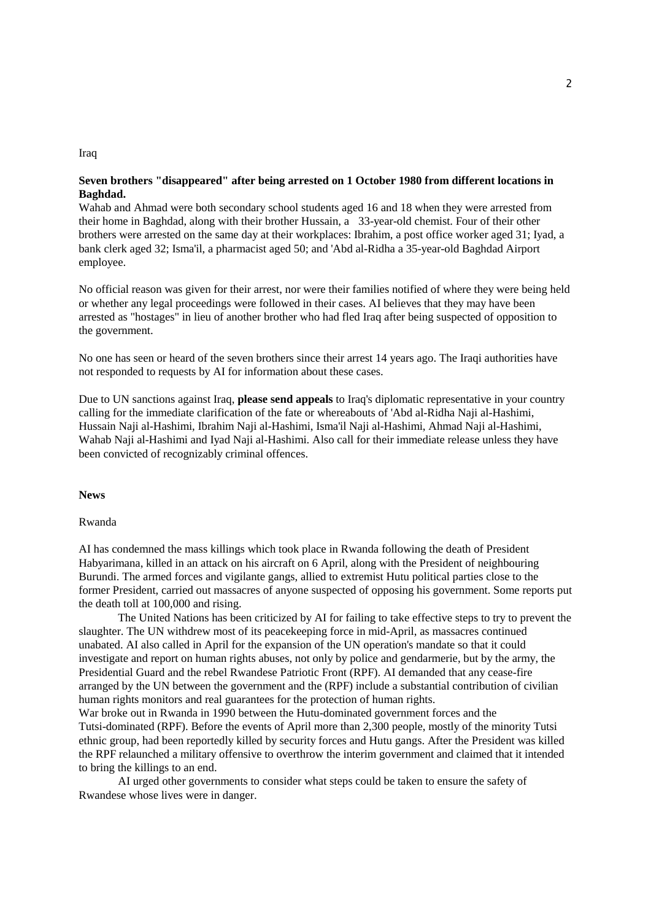## Iraq

# **Seven brothers "disappeared" after being arrested on 1 October 1980 from different locations in Baghdad.**

Wahab and Ahmad were both secondary school students aged 16 and 18 when they were arrested from their home in Baghdad, along with their brother Hussain, a 33-year-old chemist. Four of their other brothers were arrested on the same day at their workplaces: Ibrahim, a post office worker aged 31; Iyad, a bank clerk aged 32; Isma'il, a pharmacist aged 50; and 'Abd al-Ridha a 35-year-old Baghdad Airport employee.

No official reason was given for their arrest, nor were their families notified of where they were being held or whether any legal proceedings were followed in their cases. AI believes that they may have been arrested as "hostages" in lieu of another brother who had fled Iraq after being suspected of opposition to the government.

No one has seen or heard of the seven brothers since their arrest 14 years ago. The Iraqi authorities have not responded to requests by AI for information about these cases.

Due to UN sanctions against Iraq, **please send appeals** to Iraq's diplomatic representative in your country calling for the immediate clarification of the fate or whereabouts of 'Abd al-Ridha Naji al-Hashimi, Hussain Naji al-Hashimi, Ibrahim Naji al-Hashimi, Isma'il Naji al-Hashimi, Ahmad Naji al-Hashimi, Wahab Naji al-Hashimi and Iyad Naji al-Hashimi. Also call for their immediate release unless they have been convicted of recognizably criminal offences.

#### **News**

### Rwanda

AI has condemned the mass killings which took place in Rwanda following the death of President Habyarimana, killed in an attack on his aircraft on 6 April, along with the President of neighbouring Burundi. The armed forces and vigilante gangs, allied to extremist Hutu political parties close to the former President, carried out massacres of anyone suspected of opposing his government. Some reports put the death toll at 100,000 and rising.

The United Nations has been criticized by AI for failing to take effective steps to try to prevent the slaughter. The UN withdrew most of its peacekeeping force in mid-April, as massacres continued unabated. AI also called in April for the expansion of the UN operation's mandate so that it could investigate and report on human rights abuses, not only by police and gendarmerie, but by the army, the Presidential Guard and the rebel Rwandese Patriotic Front (RPF). AI demanded that any cease-fire arranged by the UN between the government and the (RPF) include a substantial contribution of civilian human rights monitors and real guarantees for the protection of human rights.

War broke out in Rwanda in 1990 between the Hutu-dominated government forces and the Tutsi-dominated (RPF). Before the events of April more than 2,300 people, mostly of the minority Tutsi ethnic group, had been reportedly killed by security forces and Hutu gangs. After the President was killed the RPF relaunched a military offensive to overthrow the interim government and claimed that it intended to bring the killings to an end.

AI urged other governments to consider what steps could be taken to ensure the safety of Rwandese whose lives were in danger.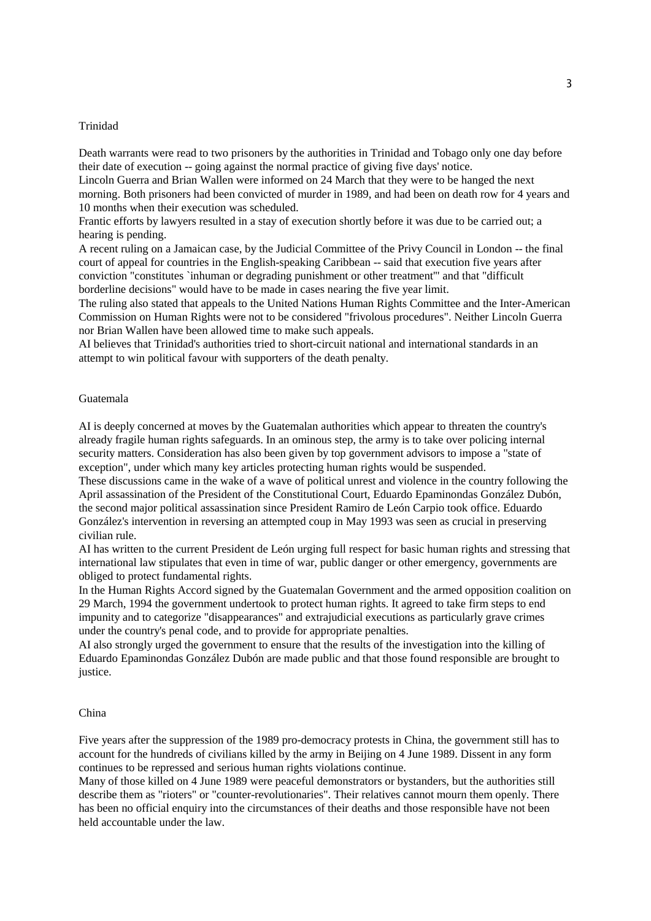### Trinidad

Death warrants were read to two prisoners by the authorities in Trinidad and Tobago only one day before their date of execution -- going against the normal practice of giving five days' notice.

Lincoln Guerra and Brian Wallen were informed on 24 March that they were to be hanged the next morning. Both prisoners had been convicted of murder in 1989, and had been on death row for 4 years and 10 months when their execution was scheduled.

Frantic efforts by lawyers resulted in a stay of execution shortly before it was due to be carried out; a hearing is pending.

A recent ruling on a Jamaican case, by the Judicial Committee of the Privy Council in London -- the final court of appeal for countries in the English-speaking Caribbean -- said that execution five years after conviction "constitutes `inhuman or degrading punishment or other treatment'" and that "difficult borderline decisions" would have to be made in cases nearing the five year limit.

The ruling also stated that appeals to the United Nations Human Rights Committee and the Inter-American Commission on Human Rights were not to be considered "frivolous procedures". Neither Lincoln Guerra nor Brian Wallen have been allowed time to make such appeals.

AI believes that Trinidad's authorities tried to short-circuit national and international standards in an attempt to win political favour with supporters of the death penalty.

#### Guatemala

AI is deeply concerned at moves by the Guatemalan authorities which appear to threaten the country's already fragile human rights safeguards. In an ominous step, the army is to take over policing internal security matters. Consideration has also been given by top government advisors to impose a "state of exception", under which many key articles protecting human rights would be suspended.

These discussions came in the wake of a wave of political unrest and violence in the country following the April assassination of the President of the Constitutional Court, Eduardo Epaminondas González Dubón, the second major political assassination since President Ramiro de León Carpio took office. Eduardo González's intervention in reversing an attempted coup in May 1993 was seen as crucial in preserving civilian rule.

AI has written to the current President de León urging full respect for basic human rights and stressing that international law stipulates that even in time of war, public danger or other emergency, governments are obliged to protect fundamental rights.

In the Human Rights Accord signed by the Guatemalan Government and the armed opposition coalition on 29 March, 1994 the government undertook to protect human rights. It agreed to take firm steps to end impunity and to categorize "disappearances" and extrajudicial executions as particularly grave crimes under the country's penal code, and to provide for appropriate penalties.

AI also strongly urged the government to ensure that the results of the investigation into the killing of Eduardo Epaminondas González Dubón are made public and that those found responsible are brought to justice.

## China

Five years after the suppression of the 1989 pro-democracy protests in China, the government still has to account for the hundreds of civilians killed by the army in Beijing on 4 June 1989. Dissent in any form continues to be repressed and serious human rights violations continue.

Many of those killed on 4 June 1989 were peaceful demonstrators or bystanders, but the authorities still describe them as "rioters" or "counter-revolutionaries". Their relatives cannot mourn them openly. There has been no official enquiry into the circumstances of their deaths and those responsible have not been held accountable under the law.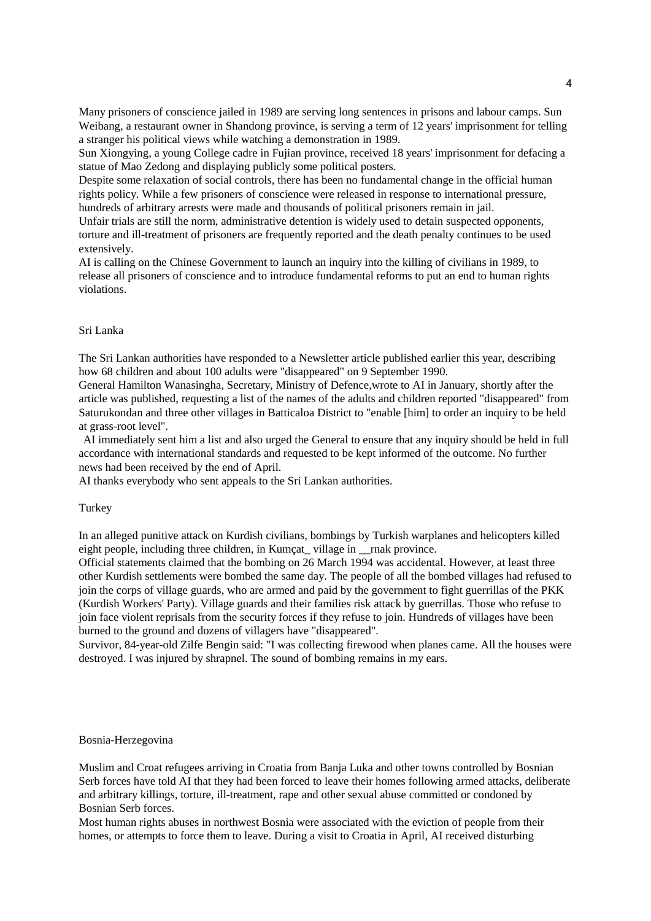Many prisoners of conscience jailed in 1989 are serving long sentences in prisons and labour camps. Sun Weibang, a restaurant owner in Shandong province, is serving a term of 12 years' imprisonment for telling a stranger his political views while watching a demonstration in 1989.

Sun Xiongying, a young College cadre in Fujian province, received 18 years' imprisonment for defacing a statue of Mao Zedong and displaying publicly some political posters.

Despite some relaxation of social controls, there has been no fundamental change in the official human rights policy. While a few prisoners of conscience were released in response to international pressure, hundreds of arbitrary arrests were made and thousands of political prisoners remain in jail.

Unfair trials are still the norm, administrative detention is widely used to detain suspected opponents, torture and ill-treatment of prisoners are frequently reported and the death penalty continues to be used extensively.

AI is calling on the Chinese Government to launch an inquiry into the killing of civilians in 1989, to release all prisoners of conscience and to introduce fundamental reforms to put an end to human rights violations.

#### Sri Lanka

The Sri Lankan authorities have responded to a Newsletter article published earlier this year, describing how 68 children and about 100 adults were "disappeared" on 9 September 1990.

General Hamilton Wanasingha, Secretary, Ministry of Defence,wrote to AI in January, shortly after the article was published, requesting a list of the names of the adults and children reported "disappeared" from Saturukondan and three other villages in Batticaloa District to "enable [him] to order an inquiry to be held at grass-root level".

AI immediately sent him a list and also urged the General to ensure that any inquiry should be held in full accordance with international standards and requested to be kept informed of the outcome. No further news had been received by the end of April.

AI thanks everybody who sent appeals to the Sri Lankan authorities.

## **Turkey**

In an alleged punitive attack on Kurdish civilians, bombings by Turkish warplanes and helicopters killed eight people, including three children, in Kumcat village in \_\_rnak province.

Official statements claimed that the bombing on 26 March 1994 was accidental. However, at least three other Kurdish settlements were bombed the same day. The people of all the bombed villages had refused to join the corps of village guards, who are armed and paid by the government to fight guerrillas of the PKK (Kurdish Workers' Party). Village guards and their families risk attack by guerrillas. Those who refuse to join face violent reprisals from the security forces if they refuse to join. Hundreds of villages have been burned to the ground and dozens of villagers have "disappeared".

Survivor, 84-year-old Zilfe Bengin said: "I was collecting firewood when planes came. All the houses were destroyed. I was injured by shrapnel. The sound of bombing remains in my ears.

## Bosnia-Herzegovina

Muslim and Croat refugees arriving in Croatia from Banja Luka and other towns controlled by Bosnian Serb forces have told AI that they had been forced to leave their homes following armed attacks, deliberate and arbitrary killings, torture, ill-treatment, rape and other sexual abuse committed or condoned by Bosnian Serb forces.

Most human rights abuses in northwest Bosnia were associated with the eviction of people from their homes, or attempts to force them to leave. During a visit to Croatia in April, AI received disturbing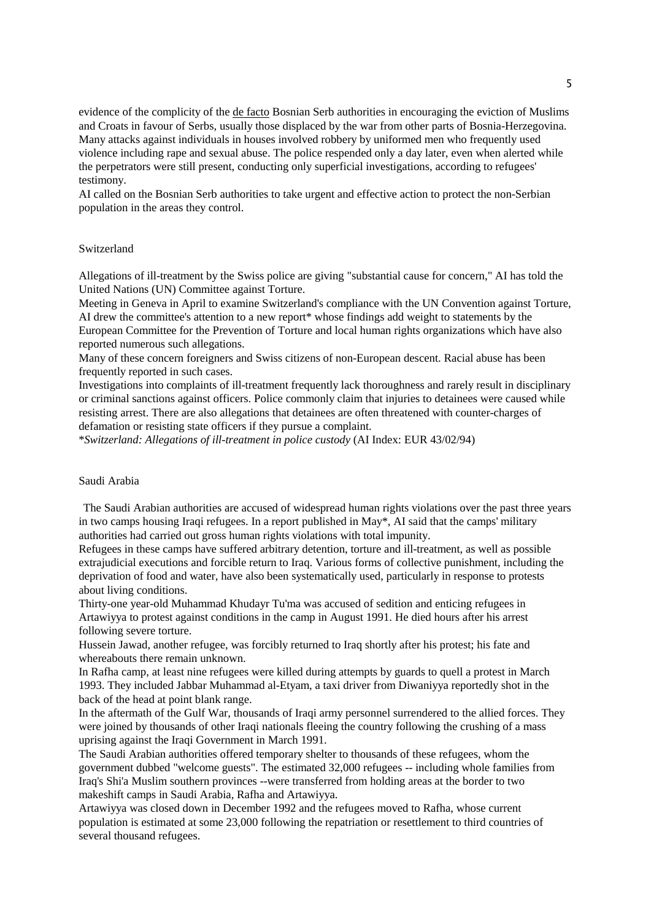evidence of the complicity of the de facto Bosnian Serb authorities in encouraging the eviction of Muslims and Croats in favour of Serbs, usually those displaced by the war from other parts of Bosnia-Herzegovina. Many attacks against individuals in houses involved robbery by uniformed men who frequently used violence including rape and sexual abuse. The police respended only a day later, even when alerted while the perpetrators were still present, conducting only superficial investigations, according to refugees' testimony.

AI called on the Bosnian Serb authorities to take urgent and effective action to protect the non-Serbian population in the areas they control.

## Switzerland

Allegations of ill-treatment by the Swiss police are giving "substantial cause for concern," AI has told the United Nations (UN) Committee against Torture.

Meeting in Geneva in April to examine Switzerland's compliance with the UN Convention against Torture, AI drew the committee's attention to a new report\* whose findings add weight to statements by the European Committee for the Prevention of Torture and local human rights organizations which have also reported numerous such allegations.

Many of these concern foreigners and Swiss citizens of non-European descent. Racial abuse has been frequently reported in such cases.

Investigations into complaints of ill-treatment frequently lack thoroughness and rarely result in disciplinary or criminal sanctions against officers. Police commonly claim that injuries to detainees were caused while resisting arrest. There are also allegations that detainees are often threatened with counter-charges of defamation or resisting state officers if they pursue a complaint.

\**Switzerland: Allegations of ill-treatment in police custody* (AI Index: EUR 43/02/94)

### Saudi Arabia

The Saudi Arabian authorities are accused of widespread human rights violations over the past three years in two camps housing Iraqi refugees. In a report published in May\*, AI said that the camps' military authorities had carried out gross human rights violations with total impunity.

Refugees in these camps have suffered arbitrary detention, torture and ill-treatment, as well as possible extrajudicial executions and forcible return to Iraq. Various forms of collective punishment, including the deprivation of food and water, have also been systematically used, particularly in response to protests about living conditions.

Thirty-one year-old Muhammad Khudayr Tu'ma was accused of sedition and enticing refugees in Artawiyya to protest against conditions in the camp in August 1991. He died hours after his arrest following severe torture.

Hussein Jawad, another refugee, was forcibly returned to Iraq shortly after his protest; his fate and whereabouts there remain unknown.

In Rafha camp, at least nine refugees were killed during attempts by guards to quell a protest in March 1993. They included Jabbar Muhammad al-Etyam, a taxi driver from Diwaniyya reportedly shot in the back of the head at point blank range.

In the aftermath of the Gulf War, thousands of Iraqi army personnel surrendered to the allied forces. They were joined by thousands of other Iraqi nationals fleeing the country following the crushing of a mass uprising against the Iraqi Government in March 1991.

The Saudi Arabian authorities offered temporary shelter to thousands of these refugees, whom the government dubbed "welcome guests". The estimated 32,000 refugees -- including whole families from Iraq's Shi'a Muslim southern provinces --were transferred from holding areas at the border to two makeshift camps in Saudi Arabia, Rafha and Artawiyya.

Artawiyya was closed down in December 1992 and the refugees moved to Rafha, whose current population is estimated at some 23,000 following the repatriation or resettlement to third countries of several thousand refugees.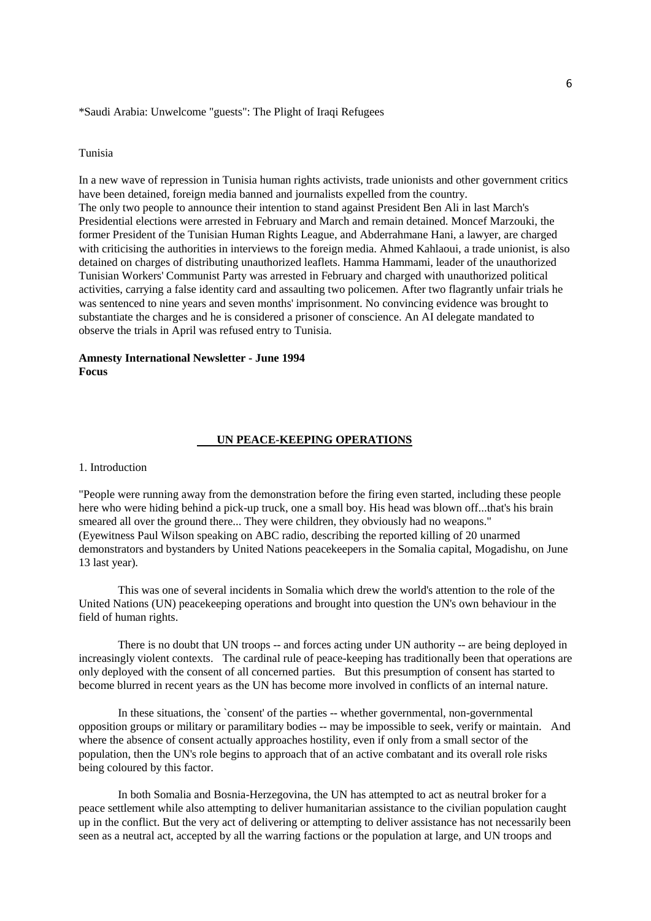\*Saudi Arabia: Unwelcome "guests": The Plight of Iraqi Refugees

# Tunisia

In a new wave of repression in Tunisia human rights activists, trade unionists and other government critics have been detained, foreign media banned and journalists expelled from the country. The only two people to announce their intention to stand against President Ben Ali in last March's Presidential elections were arrested in February and March and remain detained. Moncef Marzouki, the former President of the Tunisian Human Rights League, and Abderrahmane Hani, a lawyer, are charged with criticising the authorities in interviews to the foreign media. Ahmed Kahlaoui, a trade unionist, is also detained on charges of distributing unauthorized leaflets. Hamma Hammami, leader of the unauthorized Tunisian Workers' Communist Party was arrested in February and charged with unauthorized political activities, carrying a false identity card and assaulting two policemen. After two flagrantly unfair trials he was sentenced to nine years and seven months' imprisonment. No convincing evidence was brought to substantiate the charges and he is considered a prisoner of conscience. An AI delegate mandated to observe the trials in April was refused entry to Tunisia.

# **Amnesty International Newsletter - June 1994 Focus**

# **UN PEACE-KEEPING OPERATIONS**

### 1. Introduction

"People were running away from the demonstration before the firing even started, including these people here who were hiding behind a pick-up truck, one a small boy. His head was blown off...that's his brain smeared all over the ground there... They were children, they obviously had no weapons." (Eyewitness Paul Wilson speaking on ABC radio, describing the reported killing of 20 unarmed demonstrators and bystanders by United Nations peacekeepers in the Somalia capital, Mogadishu, on June 13 last year).

This was one of several incidents in Somalia which drew the world's attention to the role of the United Nations (UN) peacekeeping operations and brought into question the UN's own behaviour in the field of human rights.

There is no doubt that UN troops -- and forces acting under UN authority -- are being deployed in increasingly violent contexts. The cardinal rule of peace-keeping has traditionally been that operations are only deployed with the consent of all concerned parties. But this presumption of consent has started to become blurred in recent years as the UN has become more involved in conflicts of an internal nature.

In these situations, the `consent' of the parties -- whether governmental, non-governmental opposition groups or military or paramilitary bodies -- may be impossible to seek, verify or maintain. And where the absence of consent actually approaches hostility, even if only from a small sector of the population, then the UN's role begins to approach that of an active combatant and its overall role risks being coloured by this factor.

In both Somalia and Bosnia-Herzegovina, the UN has attempted to act as neutral broker for a peace settlement while also attempting to deliver humanitarian assistance to the civilian population caught up in the conflict. But the very act of delivering or attempting to deliver assistance has not necessarily been seen as a neutral act, accepted by all the warring factions or the population at large, and UN troops and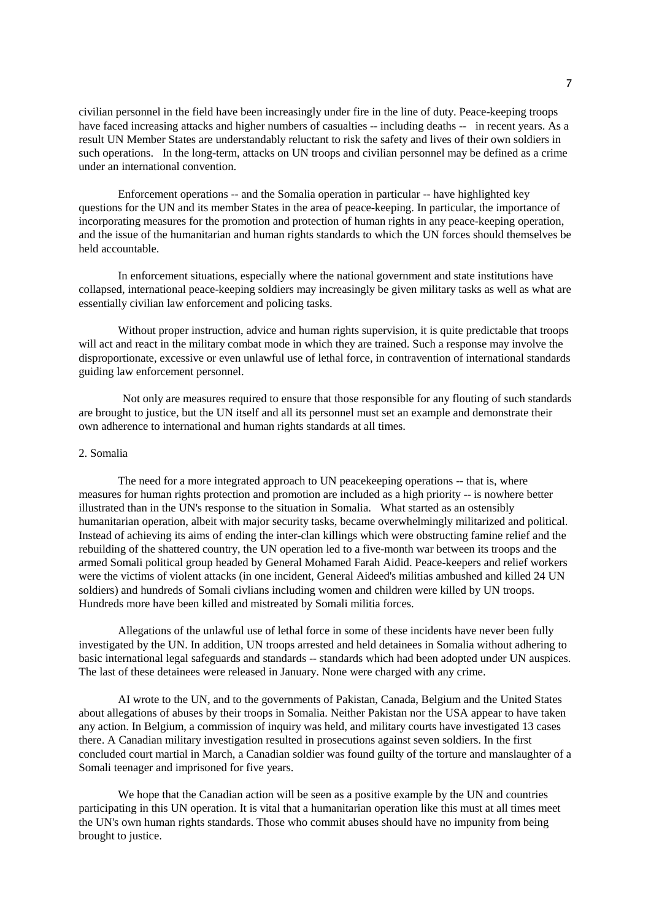civilian personnel in the field have been increasingly under fire in the line of duty. Peace-keeping troops have faced increasing attacks and higher numbers of casualties -- including deaths -- in recent years. As a result UN Member States are understandably reluctant to risk the safety and lives of their own soldiers in such operations. In the long-term, attacks on UN troops and civilian personnel may be defined as a crime under an international convention.

Enforcement operations -- and the Somalia operation in particular -- have highlighted key questions for the UN and its member States in the area of peace-keeping. In particular, the importance of incorporating measures for the promotion and protection of human rights in any peace-keeping operation, and the issue of the humanitarian and human rights standards to which the UN forces should themselves be held accountable.

In enforcement situations, especially where the national government and state institutions have collapsed, international peace-keeping soldiers may increasingly be given military tasks as well as what are essentially civilian law enforcement and policing tasks.

Without proper instruction, advice and human rights supervision, it is quite predictable that troops will act and react in the military combat mode in which they are trained. Such a response may involve the disproportionate, excessive or even unlawful use of lethal force, in contravention of international standards guiding law enforcement personnel.

Not only are measures required to ensure that those responsible for any flouting of such standards are brought to justice, but the UN itself and all its personnel must set an example and demonstrate their own adherence to international and human rights standards at all times.

#### 2. Somalia

The need for a more integrated approach to UN peacekeeping operations -- that is, where measures for human rights protection and promotion are included as a high priority -- is nowhere better illustrated than in the UN's response to the situation in Somalia. What started as an ostensibly humanitarian operation, albeit with major security tasks, became overwhelmingly militarized and political. Instead of achieving its aims of ending the inter-clan killings which were obstructing famine relief and the rebuilding of the shattered country, the UN operation led to a five-month war between its troops and the armed Somali political group headed by General Mohamed Farah Aidid. Peace-keepers and relief workers were the victims of violent attacks (in one incident, General Aideed's militias ambushed and killed 24 UN soldiers) and hundreds of Somali civlians including women and children were killed by UN troops. Hundreds more have been killed and mistreated by Somali militia forces.

Allegations of the unlawful use of lethal force in some of these incidents have never been fully investigated by the UN. In addition, UN troops arrested and held detainees in Somalia without adhering to basic international legal safeguards and standards -- standards which had been adopted under UN auspices. The last of these detainees were released in January. None were charged with any crime.

AI wrote to the UN, and to the governments of Pakistan, Canada, Belgium and the United States about allegations of abuses by their troops in Somalia. Neither Pakistan nor the USA appear to have taken any action. In Belgium, a commission of inquiry was held, and military courts have investigated 13 cases there. A Canadian military investigation resulted in prosecutions against seven soldiers. In the first concluded court martial in March, a Canadian soldier was found guilty of the torture and manslaughter of a Somali teenager and imprisoned for five years.

We hope that the Canadian action will be seen as a positive example by the UN and countries participating in this UN operation. It is vital that a humanitarian operation like this must at all times meet the UN's own human rights standards. Those who commit abuses should have no impunity from being brought to justice.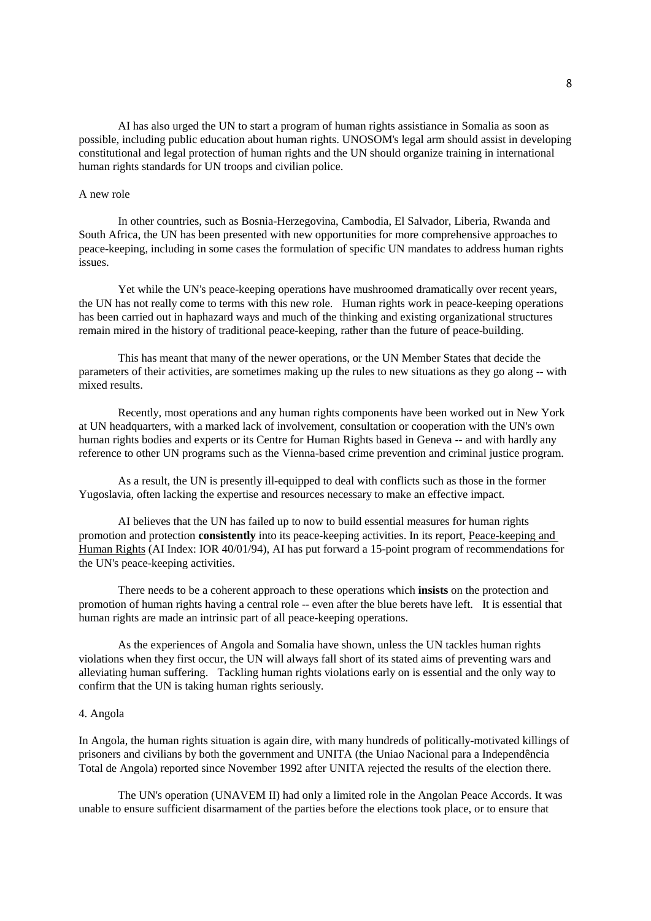AI has also urged the UN to start a program of human rights assistiance in Somalia as soon as possible, including public education about human rights. UNOSOM's legal arm should assist in developing constitutional and legal protection of human rights and the UN should organize training in international human rights standards for UN troops and civilian police.

## A new role

In other countries, such as Bosnia-Herzegovina, Cambodia, El Salvador, Liberia, Rwanda and South Africa, the UN has been presented with new opportunities for more comprehensive approaches to peace-keeping, including in some cases the formulation of specific UN mandates to address human rights issues.

Yet while the UN's peace-keeping operations have mushroomed dramatically over recent years, the UN has not really come to terms with this new role. Human rights work in peace-keeping operations has been carried out in haphazard ways and much of the thinking and existing organizational structures remain mired in the history of traditional peace-keeping, rather than the future of peace-building.

This has meant that many of the newer operations, or the UN Member States that decide the parameters of their activities, are sometimes making up the rules to new situations as they go along -- with mixed results.

Recently, most operations and any human rights components have been worked out in New York at UN headquarters, with a marked lack of involvement, consultation or cooperation with the UN's own human rights bodies and experts or its Centre for Human Rights based in Geneva -- and with hardly any reference to other UN programs such as the Vienna-based crime prevention and criminal justice program.

As a result, the UN is presently ill-equipped to deal with conflicts such as those in the former Yugoslavia, often lacking the expertise and resources necessary to make an effective impact.

AI believes that the UN has failed up to now to build essential measures for human rights promotion and protection **consistently** into its peace-keeping activities. In its report, Peace-keeping and Human Rights (AI Index: IOR 40/01/94), AI has put forward a 15-point program of recommendations for the UN's peace-keeping activities.

There needs to be a coherent approach to these operations which **insists** on the protection and promotion of human rights having a central role -- even after the blue berets have left. It is essential that human rights are made an intrinsic part of all peace-keeping operations.

As the experiences of Angola and Somalia have shown, unless the UN tackles human rights violations when they first occur, the UN will always fall short of its stated aims of preventing wars and alleviating human suffering. Tackling human rights violations early on is essential and the only way to confirm that the UN is taking human rights seriously.

### 4. Angola

In Angola, the human rights situation is again dire, with many hundreds of politically-motivated killings of prisoners and civilians by both the government and UNITA (the Uniao Nacional para a Independência Total de Angola) reported since November 1992 after UNITA rejected the results of the election there.

The UN's operation (UNAVEM II) had only a limited role in the Angolan Peace Accords. It was unable to ensure sufficient disarmament of the parties before the elections took place, or to ensure that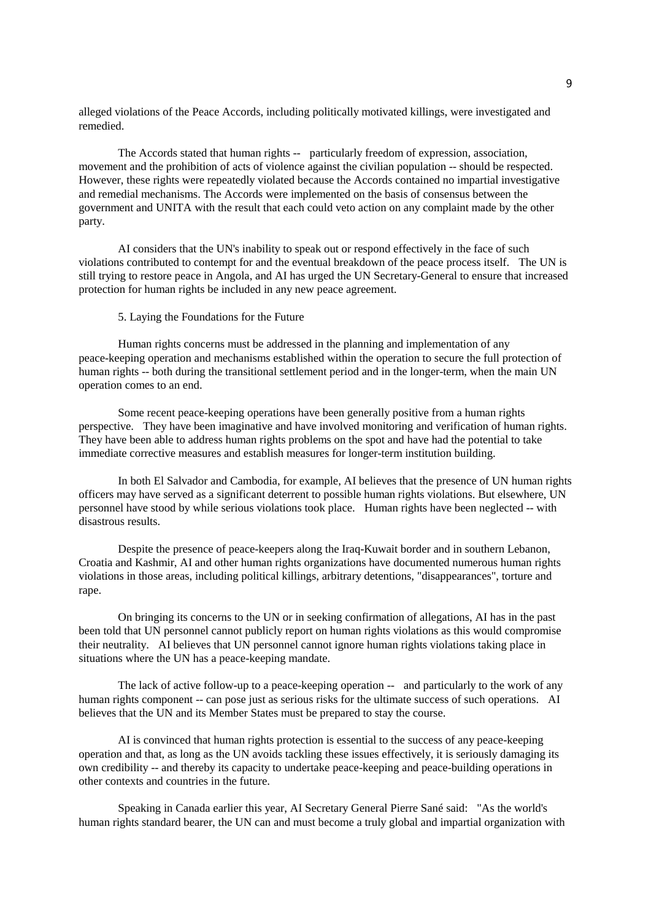alleged violations of the Peace Accords, including politically motivated killings, were investigated and remedied.

The Accords stated that human rights -- particularly freedom of expression, association, movement and the prohibition of acts of violence against the civilian population -- should be respected. However, these rights were repeatedly violated because the Accords contained no impartial investigative and remedial mechanisms. The Accords were implemented on the basis of consensus between the government and UNITA with the result that each could veto action on any complaint made by the other party.

AI considers that the UN's inability to speak out or respond effectively in the face of such violations contributed to contempt for and the eventual breakdown of the peace process itself. The UN is still trying to restore peace in Angola, and AI has urged the UN Secretary-General to ensure that increased protection for human rights be included in any new peace agreement.

## 5. Laying the Foundations for the Future

Human rights concerns must be addressed in the planning and implementation of any peace-keeping operation and mechanisms established within the operation to secure the full protection of human rights -- both during the transitional settlement period and in the longer-term, when the main UN operation comes to an end.

Some recent peace-keeping operations have been generally positive from a human rights perspective. They have been imaginative and have involved monitoring and verification of human rights. They have been able to address human rights problems on the spot and have had the potential to take immediate corrective measures and establish measures for longer-term institution building.

In both El Salvador and Cambodia, for example, AI believes that the presence of UN human rights officers may have served as a significant deterrent to possible human rights violations. But elsewhere, UN personnel have stood by while serious violations took place. Human rights have been neglected -- with disastrous results.

Despite the presence of peace-keepers along the Iraq-Kuwait border and in southern Lebanon, Croatia and Kashmir, AI and other human rights organizations have documented numerous human rights violations in those areas, including political killings, arbitrary detentions, "disappearances", torture and rape.

On bringing its concerns to the UN or in seeking confirmation of allegations, AI has in the past been told that UN personnel cannot publicly report on human rights violations as this would compromise their neutrality. AI believes that UN personnel cannot ignore human rights violations taking place in situations where the UN has a peace-keeping mandate.

The lack of active follow-up to a peace-keeping operation -- and particularly to the work of any human rights component -- can pose just as serious risks for the ultimate success of such operations. AI believes that the UN and its Member States must be prepared to stay the course.

AI is convinced that human rights protection is essential to the success of any peace-keeping operation and that, as long as the UN avoids tackling these issues effectively, it is seriously damaging its own credibility -- and thereby its capacity to undertake peace-keeping and peace-building operations in other contexts and countries in the future.

Speaking in Canada earlier this year, AI Secretary General Pierre Sané said: "As the world's human rights standard bearer, the UN can and must become a truly global and impartial organization with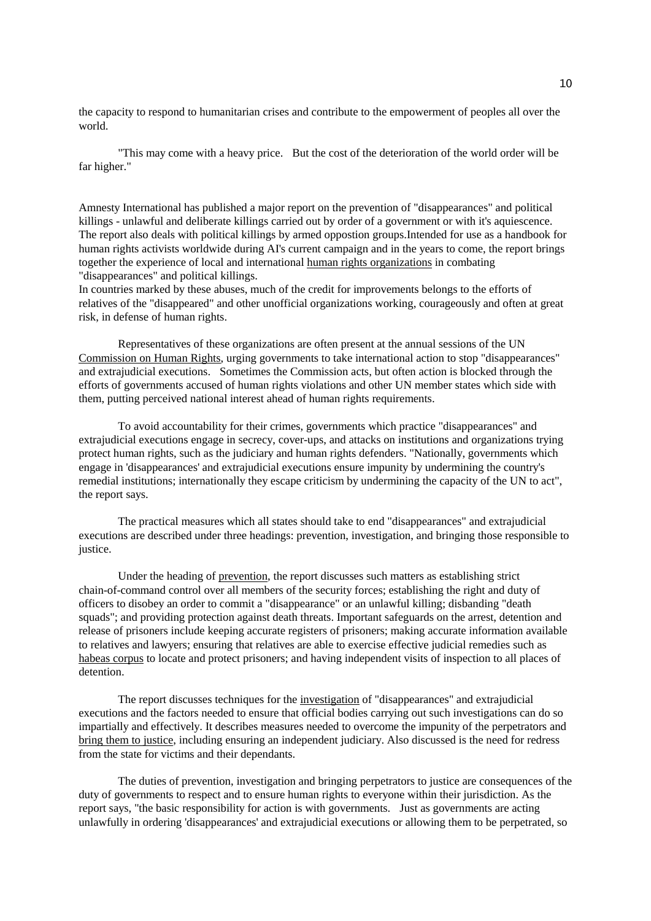the capacity to respond to humanitarian crises and contribute to the empowerment of peoples all over the world.

"This may come with a heavy price. But the cost of the deterioration of the world order will be far higher."

Amnesty International has published a major report on the prevention of "disappearances" and political killings - unlawful and deliberate killings carried out by order of a government or with it's aquiescence. The report also deals with political killings by armed oppostion groups.Intended for use as a handbook for human rights activists worldwide during AI's current campaign and in the years to come, the report brings together the experience of local and international human rights organizations in combating "disappearances" and political killings.

In countries marked by these abuses, much of the credit for improvements belongs to the efforts of relatives of the "disappeared" and other unofficial organizations working, courageously and often at great risk, in defense of human rights.

Representatives of these organizations are often present at the annual sessions of the UN Commission on Human Rights, urging governments to take international action to stop "disappearances" and extrajudicial executions. Sometimes the Commission acts, but often action is blocked through the efforts of governments accused of human rights violations and other UN member states which side with them, putting perceived national interest ahead of human rights requirements.

To avoid accountability for their crimes, governments which practice "disappearances" and extrajudicial executions engage in secrecy, cover-ups, and attacks on institutions and organizations trying protect human rights, such as the judiciary and human rights defenders. "Nationally, governments which engage in 'disappearances' and extrajudicial executions ensure impunity by undermining the country's remedial institutions; internationally they escape criticism by undermining the capacity of the UN to act", the report says.

The practical measures which all states should take to end "disappearances" and extrajudicial executions are described under three headings: prevention, investigation, and bringing those responsible to justice.

Under the heading of prevention, the report discusses such matters as establishing strict chain-of-command control over all members of the security forces; establishing the right and duty of officers to disobey an order to commit a "disappearance" or an unlawful killing; disbanding "death squads"; and providing protection against death threats. Important safeguards on the arrest, detention and release of prisoners include keeping accurate registers of prisoners; making accurate information available to relatives and lawyers; ensuring that relatives are able to exercise effective judicial remedies such as habeas corpus to locate and protect prisoners; and having independent visits of inspection to all places of detention.

The report discusses techniques for the investigation of "disappearances" and extrajudicial executions and the factors needed to ensure that official bodies carrying out such investigations can do so impartially and effectively. It describes measures needed to overcome the impunity of the perpetrators and bring them to justice, including ensuring an independent judiciary. Also discussed is the need for redress from the state for victims and their dependants.

The duties of prevention, investigation and bringing perpetrators to justice are consequences of the duty of governments to respect and to ensure human rights to everyone within their jurisdiction. As the report says, "the basic responsibility for action is with governments. Just as governments are acting unlawfully in ordering 'disappearances' and extrajudicial executions or allowing them to be perpetrated, so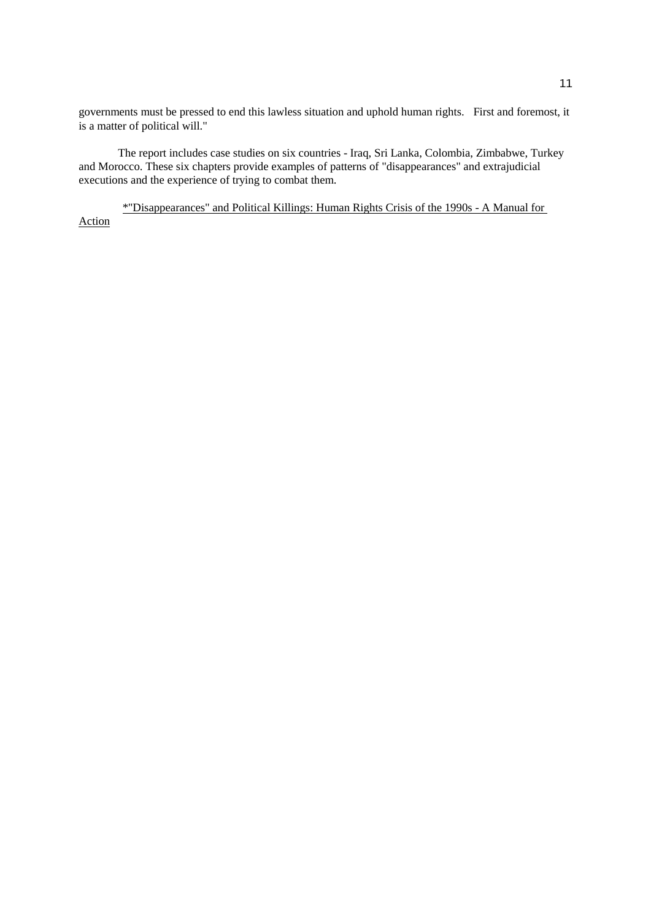governments must be pressed to end this lawless situation and uphold human rights. First and foremost, it is a matter of political will."

The report includes case studies on six countries - Iraq, Sri Lanka, Colombia, Zimbabwe, Turkey and Morocco. These six chapters provide examples of patterns of "disappearances" and extrajudicial executions and the experience of trying to combat them.

\*"Disappearances" and Political Killings: Human Rights Crisis of the 1990s - A Manual for Action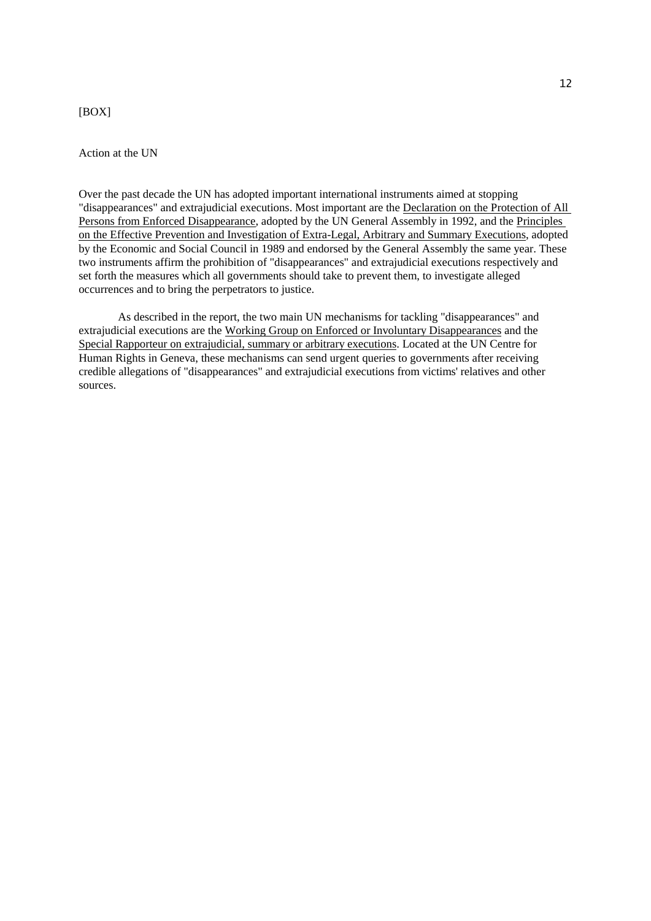## [BOX]

## Action at the UN

Over the past decade the UN has adopted important international instruments aimed at stopping "disappearances" and extrajudicial executions. Most important are the Declaration on the Protection of All Persons from Enforced Disappearance, adopted by the UN General Assembly in 1992, and the Principles on the Effective Prevention and Investigation of Extra-Legal, Arbitrary and Summary Executions, adopted by the Economic and Social Council in 1989 and endorsed by the General Assembly the same year. These two instruments affirm the prohibition of "disappearances" and extrajudicial executions respectively and set forth the measures which all governments should take to prevent them, to investigate alleged occurrences and to bring the perpetrators to justice.

As described in the report, the two main UN mechanisms for tackling "disappearances" and extrajudicial executions are the Working Group on Enforced or Involuntary Disappearances and the Special Rapporteur on extrajudicial, summary or arbitrary executions. Located at the UN Centre for Human Rights in Geneva, these mechanisms can send urgent queries to governments after receiving credible allegations of "disappearances" and extrajudicial executions from victims' relatives and other sources.